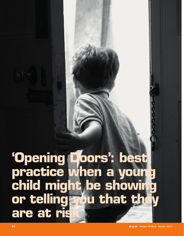# **'Opening Doors': best practice when a young child might be showing or telling you that they are at risk**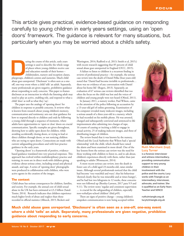This article gives practical, evidence-based guidance on responding carefully to young children in early years settings, using an 'open doors' framework. The guidance is relevant for many situations, but particularly when you may be worried about a child's safety.

uring the course of this article, early years<br>
settings is used to describe the whole range<br>
of places where young children receive care<br>
and education outside of their homes –<br>
childminders, nursery and reception classes<br> settings is used to describe the whole range of places where young children receive care and education outside of their homes – childminders, nursery and reception classes, abuse goes unreported. 'Disclosure' is often seen as a oneoff, one-way event where a child 'tells' an adult. Separately, many professionals are given negative, prohibitive guidance about responding to early concerns. This paper re-frames disclosure as an interaction in which the listening adult may need to play an active, enabling role, and respond to what a child 'does' as well as what they 'say'.

The paper uses the analogy of 'opening doors' for children in response to possible concerns. It reviews what is known from research about young children's memory, communication and testimony; sets out clear guidance for how to respond directly to children and ends by following a young child through a sequence of moments, where adults have opportunities to 'open or close' doors on crucial communication. Specific examples are given throughout, showing how to safely open doors for children, while avoiding accidentally closing doors, or trying to lead or direct children through doors, or not noticing children who are trying to open doors. Connections are made with current safeguarding procedures and with best practice guidance in the early years.

'Opening doors' is a framework of positive, evidencebased guidance translated into very practical responses. This approach has evolved within multidisciplinary practice and training; its roots are in direct work with children giving evidence about serious crime, including sexual and physical assault, and rape. A series of 'opening door' photographs were produced in collaboration with children, who were active agents in the creation of the images.

## **The context**

Child abuse has serious consequences for children, families, and society. For example, the annual cost of child sexual abuse in the UK has been estimated at £3.2 billion (Saied-Tessier, 2014). Research indicates that children experience much higher levels of abuse and neglect than those recorded in official statistics (Allnock, 2015; Beckett and

Warrington, 2014; Radford et al, 2013; Smith et al, 2015;) with recent research suggesting that 85 percent of child sexual abuse goes unreported in England (OCC, 2015).

A failure to listen to children is a recurrent finding in reviews of professional practice – for example, the serious case review into the death of Daniel Pelka (four-years-old) noted that 'Daniel had become invisible to professionals… there was no evidence of any conversation with Daniel about his home life' (Rogers, 2013). Separately, an evaluation of 67 serious case reviews identified that too often the focus on the child was lost and the voices of children and young people were not heard (Ofsted, 2011).

In January 2011, a nursery worker, Paul Wilson, came to the attention of the police following an accusation by a 13-year-old girl of online grooming. Examination of his computer revealed many indecent images, including a serious assault of a three-year-old in a nursery, which he had recorded on his mobile phone. He was arrested, charged and subsequently convicted and sentenced to life imprisonment after admitting two charges of rape, 16 counts of causing or inciting a child to engage in sexual activity, 25 of making indecent images, and three of distributing images of children.

The review found that it was known by the nursery, Ofsted and the Local Authority that Wilson had a 'special relationship' with the child, which should have raised the alarm and been examined in more detail. One of the key lessons from the serious case review was the need for those working with children to listen to, and to ask about, children's experiences directly with them, rather than just speaking to adults (Wonnacott, 2014).

A more recent serious case review, into the death in foster care of a child aged 23-months-old, raises similar issues. Although several professionals noticed that the child had become 'very watchful and wary'; that his behaviour 'showed clearly that he was miserable and at times hungry', and he had lost two kilograms in 12 weeks, these concerns were not followed up (Bentley-Lawson, 2017 para 9.9 and 9.11). The review notes 'regular and consistent supervision … is crucial for the safeguarding of children, especially non-verbal/pre-school children' (ibid p49).

There are signs of positive change – young children's unspoken communication is now being accepted within





#### Ruth Marchant (top); Lucy Turner

**is a forensic interviewer and witness intermediary, providing communication support to very young children in their involvement with the police and the courts; Lucy works with Triangle as an intermediary, interviewer, advocate, and trainer. She is qualified as an Early Years Teacher and SENCO**

**ruth@triangle.org.uk lucyt@triangle.org.uk**

**Much child abuse goes unreported. 'Disclosure' is often seen as a one-off, one-way event where a child 'tells' an adult. Separately, many professionals are given negative, prohibitive guidance about responding to early concerns.**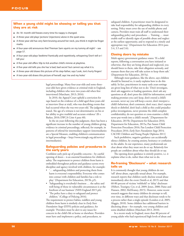## **When a young child might be showing or telling you that they are at risk**

- An 18- month-old freezes every time his nappy is changed.
- A three-year-old plays 'jections' (injections) alone in the quiet area.
- A three-year-old has very faint bruising around her neck, you think it might be finger marks.
- A four-year-old announces that 'Fireman Sam squirts on my tummy all night' see page 57.
- A four-year-old plays 'bedtime' frantically and repetitively, whispering 'Don't tell or I kill you'.
- A five-year-old offers 50p to lick another child's minnie at playtime.
- A five-year-old tells you she has 'a bad, bad secret' but cannot say what it is.
- A three-year-old draws this picture of his step-father, says 'Look, Jon's hurty fingers'
- A two-year-old draws this picture of herself, says 'me and my holes'

legal proceedings. Many four-year-olds and some threeyear-olds have given evidence at criminal trials in England, including children who were two-years-old when first interviewed (Marchant, 2013; 2016).

In 2010, the Appeal Court upheld a conviction for rape based on the evidence of a child aged three-years-old at interview (four at trial), who was describing events that had occurred when she was two-years-old. The judgement stated, 'the age of a witness is not determinative on his or her ability to give truthful and accurate evidence' (R v. Barker, 2010; EWCA Crim 4 para 40).

In the six years following this judgment, there has been a significant increase in the number of young children giving evidence in criminal proceedings, reflected, for example, in patterns of referral for intermediary support (intermediaries are a Special Measure, enabling children's communication in legal proceedings – http://www.triangle.org.uk/service/ intermediaries).

#### **Safeguarding policies and procedures in the early years**

Confident early pick-up of possible concerns – by careful opening of doors – is an essential foundation for children's safety. The requirement to protect children from harm is embedded throughout policies and guidance across every discipline and agency involved with children, for example:

- '… safeguarding children and protecting them from harm is everyone's responsibility. Everyone who comes into contact with children and families has a role to play.' (Department for Education, 2015b, p5).
- 'Safeguarding is everybody's business … the safety and well-being of those in vulnerable circumstances is at the forefront of our business' (NHS England 2015 p6).
- 'The police have a duty to safeguard and protect children.' (College of Policing 2016).

The requirement to protect babies, toddlers and young children from harm is similarly clear in *Early Years Foundation Stage* (EYFS) policies and guidance, for example: 'Providers must be alert to any issues for concern in the child's life at home or elsewhere. Providers must have and implement a policy, and procedures, to

safeguard children. A practitioner must be designated to take lead responsibility for safeguarding children in every setting. Policy must cover the use of mobile phone and camera. Providers must train all staff to understand their safeguarding policy and procedures … Training … must enable staff to identify signs of possible abuse and neglect at the earliest opportunity, and to respond in a timely and appropriate way.' (Department for Education 2014 para 3.4, 3.5 and 3.6).

#### **Closing doors by mistake**

Multi-agency government guidance states: 'If a child reports, following a conversation you have initiated or otherwise, that they are being abused and neglected, you should listen to them, take their allegation seriously, and reassure them that you will take action to keep them safe.' (Department for Education, 2015a).

Although most guidance, like the above, says children should be listened to, it rarely explains how to do this safely. In fact, practitioners in many early years settings are given long lists of what not to do: 'Don't investigate, don't ask suggestive or leading questions, don't ask any questions at all, don't press the child for information; avoid making promises you can't keep, don't extend a child's account, never say you will keep a secret, don't interpret a child's behaviour, don't comment, don't react, don't express shock or disbelief, don't lead a child as this could prejudice police investigations, never promise the child complete confidentiality, do not question or cross-examine a child, never put words into a child's mouth.' [Department for Education, 2015b; Department for Education 2016; Department for Education, 2015a; Pan Sussex Child Protection Procedures 2016; Pan London Child Protection Procedures 2016; *Early Years Foundation Stage* 2014; CACHE Children and Young People Diploma 2011]

Such prohibitive, negative guidance can accidentally silence children, by creating anxiety, hesitancy or confusion in the adults. In our experience, many professionals are clear about what they must not do or say. Relatively few people are confident about what they should do or say.

The opening doors guidance is entirely positive, i.e. it explains what to do, rather than what not to do.

#### **Re-framing 'Disclosure' – what research tells us**

It is commonly thought that young children do not 'tell' about abuse, especially sexual abuse. For example, research reports that children rarely disclose sexual abuse immediately after the event (Smith et al, 2015) and that 60-80 percent of victims 'withhold' or 'delay' disclosure (Hébert, Tourigny, Cyr, et al, 2009; Jones, 2000; Paine and Hansen, 2002; McElvaney, 2015). However, some recent research suggests that many children do attempt to tell, over time, in different ways and that disclosure tends to be a process rather than a single episode (London et al, 2005; Alaggia, 2010). Some children face additional barriers in disclosing abuse – for example, very young children and some disabled children (Marchant 2013, 2010).

In a recent study in England, more than 80 percent of young adults who had experienced high levels of abuse and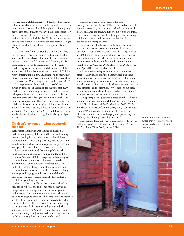violence during childhood reported that they had tried to tell someone about the abuse. Not being noticed, asked or heard 'was a consistent thread throughout… Some young people emphasised that they delayed their disclosures – or did not disclose – because no-one asked them or no-one noticed' (Allnock and Miller, 2013). Some young people are also sure that when they were children there were signs of abuse that should have been picked up (McElvaney, 2015).

Disclosure is often understood as a one-off, one-way event. However, disclosure can better be understood 'as a process that unfolds over time in different contexts and not as a singular event' (Reitsema and Grietens, 2016). 'Disclosure' develops through an interplay between children's signs and expressions and the reactions of the adults around them, both verbal and non-verbal. Children receive information on how adults respond to them, they process and evaluate this information, and they base their reactions on this (McElvaney, Greene, and Hogan, 2012).

Our experience with more than 1,000 children giving evidence about alleged abuse, suggests that many children – especially young or disabled children – show or tell repeatedly before action is taken – for example, 'Oh she's been saying that for ages.' 'He always does that, we thought that's just him.' The initial response of adults to children's disclosures can also affect children's wellbeing and the likelihood that they will recant or 'take back' their allegations (Ahern and Lamb, 2016) – adult responses are also key in later legal proceedings (Stolzenberg and Lyon, 2014).

#### **Children's evidence – what research tells us**

Early years practitioners are practised and skilled at understanding young children, and know that listening means attending in the widest sense to all of children's communication – everything that they say and do, from sounds, words and sentences to expressions, gestures, eye gaze, play, demonstrations, behaviour and drawing.

Research has confirmed that young children rely much more on unspoken communication than adults (Doherty-Sneddon 2003). This applies both to receptive communication (children's ability to understand) and expressive communication (children's ability to explain). Therefore, being aware of one's own unspoken communication (intonation, facial expression and body language) and paying careful attention to children's unspoken communication is essential when exploring possible safeguarding concerns.

Young children may 'show' about abuse well before they can or will 'tell' about it. They may also say or do things that are worrying, but are not clear allegations or disclosures. Children may make repeated deliberate attempts to begin to show or tell, or may unintentionally or accidentally do so. Children may be coerced into making false allegations, or their reports of innocent events may be misunderstood (for example, a four-year-old who announced, 'Fireman Sam sleeps in my bed and squirts all on my tummy' had just received a duvet cover for his birthday picturing Fireman Sam using his hose).

There is now also a robust knowledge base for investigative interviewing of children. Founded on extensive worldwide research, this provides a helpful basis for much clearer guidance about how adults should respond to initial concerns, reducing the risk of confusing or contaminating children's accounts, and also reducing the risk of accidentally silencing children.

Research is absolutely clear that the best way to elicit accurate information from children is to ask as few questions as possible (Burrows and Powell, 2014; Lamb et al, 2008) and to make these short, open-ended questions that let the child decide what to focus on, and do not introduce any information the child has not mentioned (Lamb et al, 2008; Lyon, 2014; Malloy et al, 2013; Orbach and Pipe, 2011; Powell and Snow, 2007).

Asking open-ended questions is not easy and takes practise. There is also confusion about which questions are open-ended. For example, 'wh' questions (who, what, where, when, why) are often incorrectly defined as openended questions. They are actually closed questions, because they direct the child's attention. 'Wh' questions can easily become unintentionally leading, i.e. 'Who else was there?' assumes that another person was present.

The 'opening doors' guidance is based on what is known about children's memory and children's testimony (Lamb et al, 2011; LaRooy et al, 2015; Marchant, 2013; 2015) and about the impact of trauma (Perry et al, 2006; Van der Kolk, 2015). It also draws on a set of ideas about nondirective communication within play therapy and beyond (Axline, 1947; Pinney, 1984; Rogers, 1942).

The opening doors approach is compatible with current policy and guidance (Department of Education, 2015a; 2015b; Home Office 2011; Ofsted 2016).

**Practitioners must be very aware that it is easy to 'close doors' on children without meaning to**

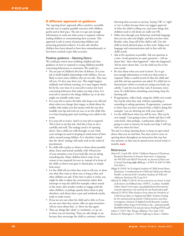#### **A different approach to guidance**

The 'opening doors' approach offers a positive, accessible and safe way to explore possible concerns with children, gently and at their pace. The aim is to get just enough information to work out what action is required, without leading children or contaminating their accounts. This approach is safe in terms of protecting children and protecting potential evidence. It is also safe whether children have been abused or have been misunderstood, or have been coached to give false accounts.

#### Positive guidance – Opening Doors

We could give much more enabling, helpful and clear guidance on how to respond to young children's possibly concerning behaviours or comments. We could say…

- You are part of children's first line of defence. It is your job to build helpful relationships with children. You are likely to meet some children who are not safe. They may tell you. Or they may show you. This might happen suddenly and without warning, or it may happen slowly, bit by bit, over time. It is your job to notice low level concerning behaviour that makes you skip a beat. It is your job to attend to the things children say or do that might not initially make sense.
- It is your job to notice the baby who keeps very still and silent when you change their nappy, to think about the toddler who makes you feel uneasy with the way they straddle your lap and rock on you, to see the child who is so busy keeping quiet and watching every adult in the room.
- It is your job to notice. And it is your job to respond. This is how to do that job. And this is how to do it carefully and well. The analogy used is of 'opening doors', that a child can walk through, or not. Early years settings are used to keeping in mind issues of door safety around young children. It is, therefore, hoped that the 'doors' analogy will easily stick in the mind of practitioners.
- If a child tells or plays or draws or shows about possible abuse, listen and attend carefully, with 100 percent of your attention, even if you look like you are doing something else. Many children find it easier if eye contact is not required (sit next to, instead of in front of the child, or direct your gaze to shared play, or simply look away).
- Let the child tell you what they want to tell you, or show you what they want to show you, as long as they and other children are safe. If the time or place is tricky, you might be able to adjust the environment rather than interrupt or stop the child (for example, reduce sound in the room, alert another worker to engage with the other children, or perhaps quietly direct them to play elsewhere, and always have a pen and notebook nearby, ready to make notes).
- If you are not sure what the child said or did, or if you are not sure what they meant, offer an open invitation – 'tell me more about that', or 'show me that again'.
- Then say things like 'uhuh' or 'mmhmm', or 'go on', to show you are listening. These are safe things to say because they encourage the child to continue, without

directing their account in anyway. Saying 'OK' or 'right' or 'yes' is riskier because these can suggest approval of what the child is telling you, and some things that children need to tell about are really not OK.

- Make clear through your behaviour and body language that you are calm and alright, and that you have time. Breathe, relax, keep still if the child is still. Give the child as much physical space as they need. Adapt your language and communication style in line with the child's needs.
- Ask as few questions as possible. Ask one question at a time. Good questions are open questions – 'tell me about that', 'then what happened', 'what else happened', 'tell me more about that'. Let the child use his or her own words.
- Be clear about what you need to know. Try to get just enough information to work out what action is required. Make a careful record of what the child said and did, and any questions you asked. If a child tries to demonstrate violent or sexual acts using your body, say calmly, 'I can't let you do that' and, if necessary, move away. If a child draws something concerning, keep the drawing safe.
- If appropriate, reflect back, using the child's own words. Say exactly what they said, without expanding or amending or asking questions. If appropriate, comment to show that you have noticed what a child is doing (for example, 'you are showing me with your hands').
- Let the child know what you will do next. This can be very simple: 'I am going to have a think and then I will come back', then perhaps, 'a policeman called Jon is going to come to nursery, he needs your help. I will stay with you when he's here'.

The aim is to keep opening doors, to keep an open mind about what you see and hear. You may need to carry on opening doors throughout an interaction that may last two minutes, or that may be spread across several weeks or months. **eye**

#### **References**

- Ahern EC, Lamb ME (2016) 'Children's Reports of Disclosure Recipient Reactions in Forensic Interviews: Comparing the NICHD and MoGP Protocols'; in *Journal of Police and Criminal Psychology* **July 2016** pp 1-9 DOI 10.1007/s11896- 016-9205-x
- Allagia R (2010) 'An Ecological Analysis of Child Sexual Abuse Disclosure: Considerations for Child and Adolescent Mental Health'; in *Journal of the Canadian Academy of Child and Adolescent Psychiatry* **19** (1) pp 32-9
- Allnock D, Miller P (2013) *No one noticed no one heard: A study of disclosures of childhood abuse*. NSPCC, London. Available online: https://www.nspcc.org.uk/globalassets/documents/ research-reports/no-one-noticed-no-one-heard-report.pdf
- Allnock D (2015) *What Evidence Exists about the Prevalence of Child Sexual Abuse in England and Wales? Evidence briefing for the national policing lead for Child protection and abuse investigation*. Institute of Applied Social Research: London. Available online: https://www.beds.ac.uk/\_\_data/assets/pdf\_ file/0008/484694/CSA-and-prevalence-briefing-FINAL.pdf

Axline V (1947) *Play Therapy*. Ballatine: New York, USA Beckett H, Warrington C (2014) *Suffering in Silence: Children*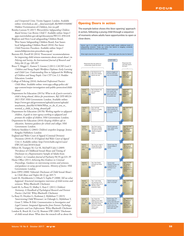*and Unreported Crime*. Victim Support: London. Available online: www.beds.ac.uk/\_data/assets/pdf\_file/0005/456008/ Hidden-Victimisation-of-Children\_low-res.pdf

- Bentley-Lawson N (2017) *Warwickshire Safeguarding Children Board Serious Case Review Child T*. Available online: https:// apps.warwickshire.gov.uk/api/documents/WCCC-850-618
- Brighton and Hove Local safeguarding Children Board, West Sussex Safeguarding Children Board, East Sussex local Safeguarding Children Board (2016) *Pan Sussex Child Protection Procedures*. Available online: https:// sussexchildprotection.procedures.org.uk/
- Burrows KS, Powell M (2014) 'Prosecutors' recommendations for improving child witness statements about sexual abuse'; in *Policing and Society, An International Journal of Research and Policy* **24** (2) pp: 189-207
- Bruce T, Meggit C, Kamen T, Grenier J (2011) *CACHE Level 3 Children and Young People's Workforce Diploma: Early Learning and Child Care: Understanding How to Safeguard the Wellbeing of Children and Young People: Unit CYP Core 3.3*. Hodder Education: London
- College of Policing (2016) *Authorised Professional Practice: Child Abuse*. Available online: www.app.college.police.uk/ app-content/major-investigation-and-public-protection/childabuse/
- Department for Education (2015a) *What to do if you're worried a child is being abused, Advice for practitioners, Ref: DFE-00124- 2015 PDF*. HM Government: London. Available online: https://www.gov.uk/government/uploads/system/uploads/ attachment\_data/file/419604/What\_to\_do\_if\_you\_re\_ worried\_a\_child\_is\_being\_abused.pdf
- Department for Education (2015b) *Working together to safeguard children, A guide to inter-agency working to safeguard and promote the welfare of children*. HM Government: London.
- Department for Education (2016) *Keeping children safe in education, Statutory guidance for schools and colleges*. HM Government: London.
- Doherty-Sneddon G (2003) *Children's unspoken language*. Jessica Kingsley Publishers: London
- England and Wales Court of Appeal (Criminal Division) Decisions (2010) *R v B England And Wales Court of Appeal Crim 4*. Available online: http://www.bailii.org/ew/cases/ EWCA/Crim/2010/4.html
- Hébert M, Tourigny M, Cyr M, McDuff P, Joly J (2009) 'Prevalence of Childhood Sexual Abuse and Timing of Disclosure in a Representative Sample of Adults from Quebec'; in *Canadian Journal of Psychiatry* **54** (9) pp 631-39
- Home Office (2011) *Achieving Best Evidence in Criminal Proceedings, Guidance on interviewing victims and witnesses, and guidance on using special measures, Ministry of Justice*. HM Government: London.
- Jones DPH (2000) 'Editorial: Disclosure of Child Sexual Abuse'; in *Child Abuse and Neglect* **24** (2) pp 269-71
- Lamb M, Hershkowitz I, Orbach Y, Esplin P (2008) *Tell me what happened. Structured investigative interviews of child victims and witnesses*. Wiley-Blackwell: Chichester
- Lamb M, La Rooy D, Malloy L, Katz C (2011) *Children's Testimony: A Handbook of Psychological Research and Forensic Practice (2nd Ed)*. Wiley-Blackwell: Chichester
- La Rooy D, Heydon G, Korkman J, Myklebust T (2015) 'Interviewing Child Witnesses'; in Oxburgh G, Myklebust T, Grant T, Milne B (Eds) *Communication in Investigative and Legal Contexts: Integrated Approaches from Forensic Psychology, Linguistics and Law Enforcement*. Wiley-Blackwell: Chichester
- London K, Bruck M, Ceci SJ, Shuman DW (2005) 'Disclosure of child sexual abuse: What does the research tell us about the

## **Opening Doors in action**

The example below shows this 'door opening' approach in action, following a young child through a sequence of moments where adults have opportunities to open or close doors.